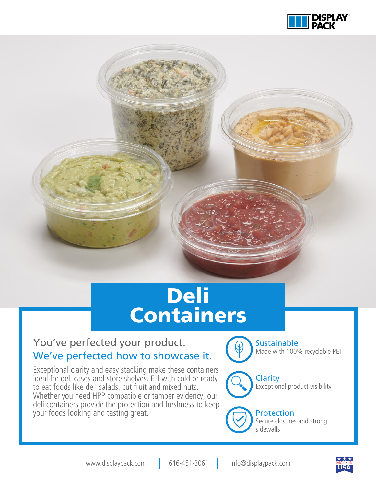

# Deli **Containers**

#### You've perfected your product. We've perfected how to showcase it.

Exceptional clarity and easy stacking make these containers ideal for deli cases and store shelves. Fill with cold or ready to eat foods like deli salads, cut fruit and mixed nuts. Whether you need HPP compatible or tamper evidency, our deli containers provide the protection and freshness to keep your foods looking and tasting great.



**Sustainable** Made with 100% recyclable PET



**Clarity** Exceptional product visibility



**Protection** Secure closures and strong sidewalls

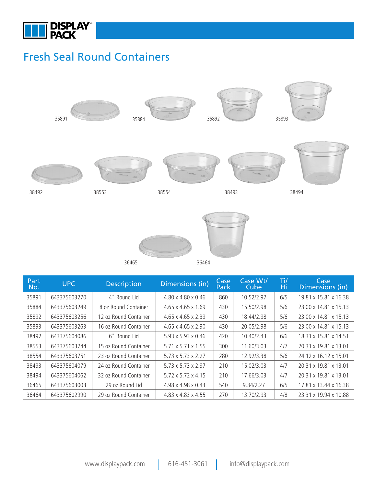

#### Fresh Seal Round Containers





| Part<br>No. | <b>UPC</b>   | <b>Description</b>    | Dimensions (in)                | Case<br>Pack | Case Wt/<br>Cube | Ti/<br>Ήi | Case<br>Dimensions (in) |
|-------------|--------------|-----------------------|--------------------------------|--------------|------------------|-----------|-------------------------|
| 35891       | 643375603270 | 4" Round Lid          | 4.80 x 4.80 x 0.46             | 860          | 10.52/2.97       | 6/5       | 19.81 x 15.81 x 16.38   |
| 35884       | 643375603249 | 8 oz Round Container  | $4.65 \times 4.65 \times 1.69$ | 430          | 15.50/2.98       | 5/6       | 23.00 x 14.81 x 15.13   |
| 35892       | 643375603256 | 12 oz Round Container | $4.65 \times 4.65 \times 2.39$ | 430          | 18.44/2.98       | 5/6       | 23.00 x 14.81 x 15.13   |
| 35893       | 643375603263 | 16 oz Round Container | $4.65 \times 4.65 \times 2.90$ | 430          | 20.05/2.98       | 5/6       | 23.00 x 14.81 x 15.13   |
| 38492       | 643375604086 | 6" Round Lid          | $5.93 \times 5.93 \times 0.46$ | 420          | 10.40/2.43       | 6/6       | 18.31 x 15.81 x 14.51   |
| 38553       | 643375603744 | 15 oz Round Container | $5.71 \times 5.71 \times 1.55$ | 300          | 11.60/3.03       | 4/7       | 20.31 x 19.81 x 13.01   |
| 38554       | 643375603751 | 23 oz Round Container | $5.73 \times 5.73 \times 2.27$ | 280          | 12.92/3.38       | 5/6       | 24.12 x 16.12 x 15.01   |
| 38493       | 643375604079 | 24 oz Round Container | 5.73 x 5.73 x 2.97             | 210          | 15.02/3.03       | 4/7       | 20.31 x 19.81 x 13.01   |
| 38494       | 643375604062 | 32 oz Round Container | 5.72 x 5.72 x 4.15             | 210          | 17.66/3.03       | 4/7       | 20.31 x 19.81 x 13.01   |
| 36465       | 643375603003 | 29 oz Round Lid       | 4.98 x 4.98 x 0.43             | 540          | 9.34/2.27        | 6/5       | 17.81 x 13.44 x 16.38   |
| 36464       | 643375602990 | 29 oz Round Container | 4.83 x 4.83 x 4.55             | 270          | 13.70/2.93       | 4/8       | 23.31 x 19.94 x 10.88   |